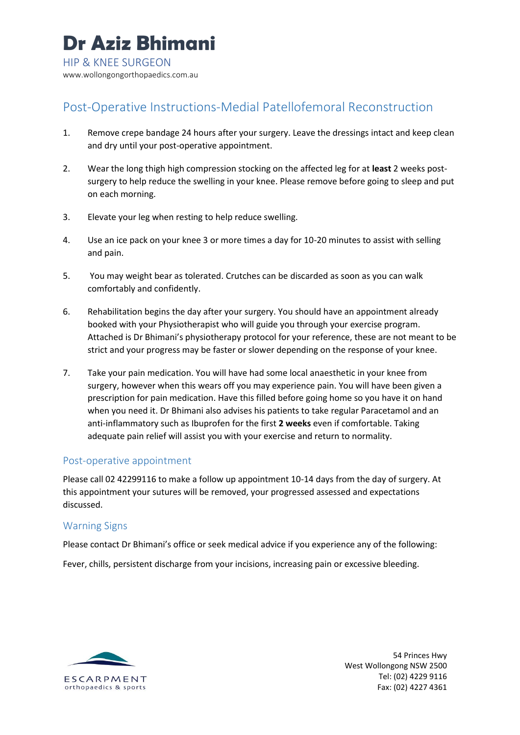# Post-Operative Instructions-Medial Patellofemoral Reconstruction

- 1. Remove crepe bandage 24 hours after your surgery. Leave the dressings intact and keep clean and dry until your post-operative appointment.
- 2. Wear the long thigh high compression stocking on the affected leg for at **least** 2 weeks postsurgery to help reduce the swelling in your knee. Please remove before going to sleep and put on each morning.
- 3. Elevate your leg when resting to help reduce swelling.
- 4. Use an ice pack on your knee 3 or more times a day for 10-20 minutes to assist with selling and pain.
- 5. You may weight bear as tolerated. Crutches can be discarded as soon as you can walk comfortably and confidently.
- 6. Rehabilitation begins the day after your surgery. You should have an appointment already booked with your Physiotherapist who will guide you through your exercise program. Attached is Dr Bhimani's physiotherapy protocol for your reference, these are not meant to be strict and your progress may be faster or slower depending on the response of your knee.
- 7. Take your pain medication. You will have had some local anaesthetic in your knee from surgery, however when this wears off you may experience pain. You will have been given a prescription for pain medication. Have this filled before going home so you have it on hand when you need it. Dr Bhimani also advises his patients to take regular Paracetamol and an anti-inflammatory such as Ibuprofen for the first **2 weeks** even if comfortable. Taking adequate pain relief will assist you with your exercise and return to normality.

# Post-operative appointment

Please call 02 42299116 to make a follow up appointment 10-14 days from the day of surgery. At this appointment your sutures will be removed, your progressed assessed and expectations discussed.

# Warning Signs

Please contact Dr Bhimani's office or seek medical advice if you experience any of the following:

Fever, chills, persistent discharge from your incisions, increasing pain or excessive bleeding.



54 Princes Hwy West Wollongong NSW 2500 Tel: (02) 4229 9116 Fax: (02) 4227 4361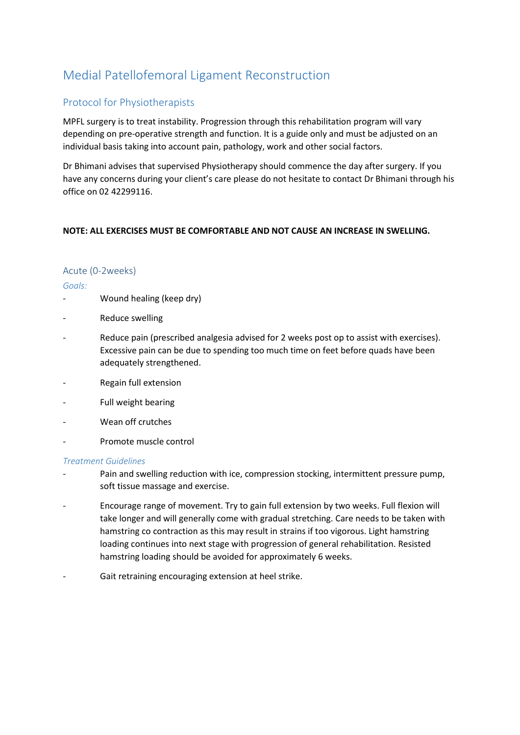# Medial Patellofemoral Ligament Reconstruction

# Protocol for Physiotherapists

MPFL surgery is to treat instability. Progression through this rehabilitation program will vary depending on pre-operative strength and function. It is a guide only and must be adjusted on an individual basis taking into account pain, pathology, work and other social factors.

Dr Bhimani advises that supervised Physiotherapy should commence the day after surgery. If you have any concerns during your client's care please do not hesitate to contact Dr Bhimani through his office on 02 42299116.

# **NOTE: ALL EXERCISES MUST BE COMFORTABLE AND NOT CAUSE AN INCREASE IN SWELLING.**

# Acute (0-2weeks)

# *Goals:*

- Wound healing (keep dry)
- Reduce swelling
- Reduce pain (prescribed analgesia advised for 2 weeks post op to assist with exercises). Excessive pain can be due to spending too much time on feet before quads have been adequately strengthened.
- Regain full extension
- Full weight bearing
- Wean off crutches
- Promote muscle control

# *Treatment Guidelines*

- Pain and swelling reduction with ice, compression stocking, intermittent pressure pump, soft tissue massage and exercise.
- Encourage range of movement. Try to gain full extension by two weeks. Full flexion will take longer and will generally come with gradual stretching. Care needs to be taken with hamstring co contraction as this may result in strains if too vigorous. Light hamstring loading continues into next stage with progression of general rehabilitation. Resisted hamstring loading should be avoided for approximately 6 weeks.
- Gait retraining encouraging extension at heel strike.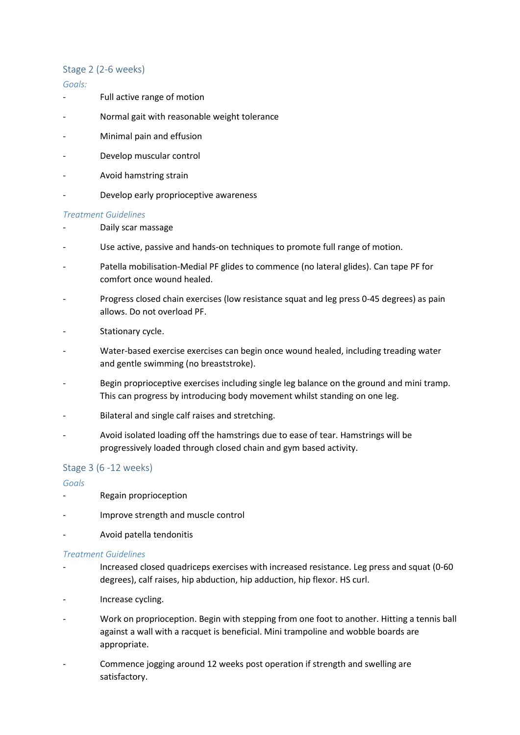# Stage 2 (2-6 weeks)

#### *Goals:*

- Full active range of motion
- Normal gait with reasonable weight tolerance
- Minimal pain and effusion
- Develop muscular control
- Avoid hamstring strain
- Develop early proprioceptive awareness

#### *Treatment Guidelines*

- Daily scar massage
- Use active, passive and hands-on techniques to promote full range of motion.
- Patella mobilisation-Medial PF glides to commence (no lateral glides). Can tape PF for comfort once wound healed.
- Progress closed chain exercises (low resistance squat and leg press 0-45 degrees) as pain allows. Do not overload PF.
- Stationary cycle.
- Water-based exercise exercises can begin once wound healed, including treading water and gentle swimming (no breaststroke).
- Begin proprioceptive exercises including single leg balance on the ground and mini tramp. This can progress by introducing body movement whilst standing on one leg.
- Bilateral and single calf raises and stretching.
- Avoid isolated loading off the hamstrings due to ease of tear. Hamstrings will be progressively loaded through closed chain and gym based activity.

# Stage 3 (6 -12 weeks)

#### *Goals*

- Regain proprioception
- Improve strength and muscle control
- Avoid patella tendonitis

#### *Treatment Guidelines*

- Increased closed quadriceps exercises with increased resistance. Leg press and squat (0-60 degrees), calf raises, hip abduction, hip adduction, hip flexor. HS curl.
- Increase cycling.
- Work on proprioception. Begin with stepping from one foot to another. Hitting a tennis ball against a wall with a racquet is beneficial. Mini trampoline and wobble boards are appropriate.
- Commence jogging around 12 weeks post operation if strength and swelling are satisfactory.